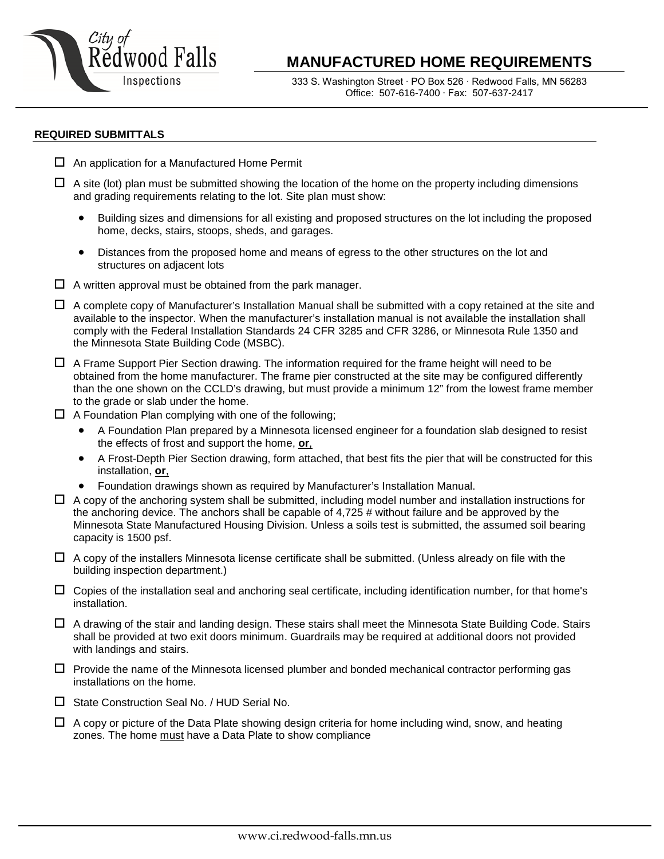

# **MANUFACTURED HOME REQUIREMENTS**

333 S. Washington Street ∙ PO Box 526 ∙ Redwood Falls, MN 56283 Office: 507-616-7400 ∙ Fax: 507-637-2417

#### **REQUIRED SUBMITTALS**

- $\Box$  An application for a Manufactured Home Permit
- $\Box$  A site (lot) plan must be submitted showing the location of the home on the property including dimensions and grading requirements relating to the lot. Site plan must show:
	- Building sizes and dimensions for all existing and proposed structures on the lot including the proposed home, decks, stairs, stoops, sheds, and garages.
	- Distances from the proposed home and means of egress to the other structures on the lot and structures on adjacent lots
- $\Box$  A written approval must be obtained from the park manager.
- $\Box$  A complete copy of Manufacturer's Installation Manual shall be submitted with a copy retained at the site and available to the inspector. When the manufacturer's installation manual is not available the installation shall comply with the Federal Installation Standards 24 CFR 3285 and CFR 3286, or Minnesota Rule 1350 and the Minnesota State Building Code (MSBC).
- $\Box$  A Frame Support Pier Section drawing. The information required for the frame height will need to be obtained from the home manufacturer. The frame pier constructed at the site may be configured differently than the one shown on the CCLD's drawing, but must provide a minimum 12" from the lowest frame member to the grade or slab under the home.
- $\Box$  A Foundation Plan complying with one of the following;
	- A Foundation Plan prepared by a Minnesota licensed engineer for a foundation slab designed to resist the effects of frost and support the home, **or**,
	- A Frost-Depth Pier Section drawing, form attached, that best fits the pier that will be constructed for this installation, **or**,
	- Foundation drawings shown as required by Manufacturer's Installation Manual.
- $\Box$  A copy of the anchoring system shall be submitted, including model number and installation instructions for the anchoring device. The anchors shall be capable of 4,725 # without failure and be approved by the Minnesota State Manufactured Housing Division. Unless a soils test is submitted, the assumed soil bearing capacity is 1500 psf.
- $\Box$  A copy of the installers Minnesota license certificate shall be submitted. (Unless already on file with the building inspection department.)
- $\Box$  Copies of the installation seal and anchoring seal certificate, including identification number, for that home's installation.
- $\Box$  A drawing of the stair and landing design. These stairs shall meet the Minnesota State Building Code. Stairs shall be provided at two exit doors minimum. Guardrails may be required at additional doors not provided with landings and stairs.
- $\Box$  Provide the name of the Minnesota licensed plumber and bonded mechanical contractor performing gas installations on the home.
- □ State Construction Seal No. / HUD Serial No.
- $\Box$  A copy or picture of the Data Plate showing design criteria for home including wind, snow, and heating zones. The home must have a Data Plate to show compliance